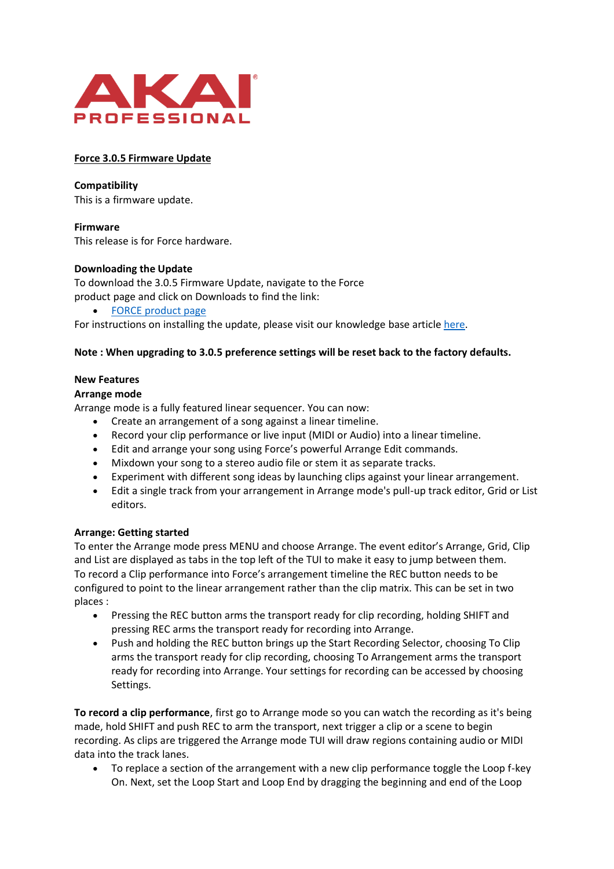

## **Force 3.0.5 Firmware Update**

**Compatibility**

This is a firmware update.

**Firmware** This release is for Force hardware.

# **Downloading the Update**

To download the 3.0.5 Firmware Update, navigate to the Force product page and click on Downloads to find the link:

• FORCE [product page](https://www.akaipro.com/force-forcexus)

For instructions on installing the update, please visit our knowledge base article [here.](https://inmusicbrands.force.com/akaipro)

# **Note : When upgrading to 3.0.5 preference settings will be reset back to the factory defaults.**

# **New Features**

#### **Arrange mode**

Arrange mode is a fully featured linear sequencer. You can now:

- Create an arrangement of a song against a linear timeline.
- Record your clip performance or live input (MIDI or Audio) into a linear timeline.
- Edit and arrange your song using Force's powerful Arrange Edit commands.
- Mixdown your song to a stereo audio file or stem it as separate tracks.
- Experiment with different song ideas by launching clips against your linear arrangement.
- Edit a single track from your arrangement in Arrange mode's pull-up track editor, Grid or List editors.

#### **Arrange: Getting started**

To enter the Arrange mode press MENU and choose Arrange. The event editor's Arrange, Grid, Clip and List are displayed as tabs in the top left of the TUI to make it easy to jump between them. To record a Clip performance into Force's arrangement timeline the REC button needs to be configured to point to the linear arrangement rather than the clip matrix. This can be set in two places :

- Pressing the REC button arms the transport ready for clip recording, holding SHIFT and pressing REC arms the transport ready for recording into Arrange.
- Push and holding the REC button brings up the Start Recording Selector, choosing To Clip arms the transport ready for clip recording, choosing To Arrangement arms the transport ready for recording into Arrange. Your settings for recording can be accessed by choosing Settings.

**To record a clip performance**, first go to Arrange mode so you can watch the recording as it's being made, hold SHIFT and push REC to arm the transport, next trigger a clip or a scene to begin recording. As clips are triggered the Arrange mode TUI will draw regions containing audio or MIDI data into the track lanes.

• To replace a section of the arrangement with a new clip performance toggle the Loop f-key On. Next, set the Loop Start and Loop End by dragging the beginning and end of the Loop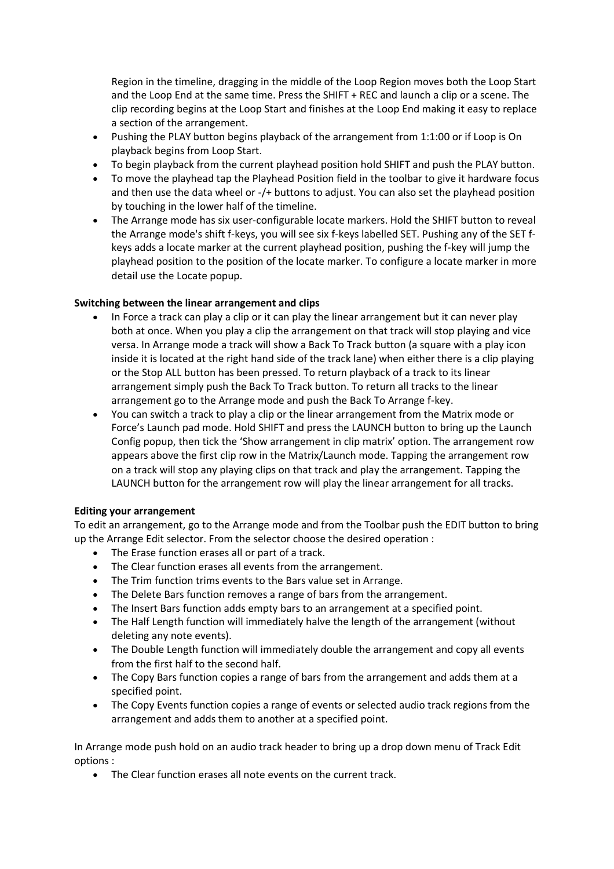Region in the timeline, dragging in the middle of the Loop Region moves both the Loop Start and the Loop End at the same time. Press the SHIFT + REC and launch a clip or a scene. The clip recording begins at the Loop Start and finishes at the Loop End making it easy to replace a section of the arrangement.

- Pushing the PLAY button begins playback of the arrangement from 1:1:00 or if Loop is On playback begins from Loop Start.
- To begin playback from the current playhead position hold SHIFT and push the PLAY button.
- To move the playhead tap the Playhead Position field in the toolbar to give it hardware focus and then use the data wheel or -/+ buttons to adjust. You can also set the playhead position by touching in the lower half of the timeline.
- The Arrange mode has six user-configurable locate markers. Hold the SHIFT button to reveal the Arrange mode's shift f-keys, you will see six f-keys labelled SET. Pushing any of the SET fkeys adds a locate marker at the current playhead position, pushing the f-key will jump the playhead position to the position of the locate marker. To configure a locate marker in more detail use the Locate popup.

# **Switching between the linear arrangement and clips**

- In Force a track can play a clip or it can play the linear arrangement but it can never play both at once. When you play a clip the arrangement on that track will stop playing and vice versa. In Arrange mode a track will show a Back To Track button (a square with a play icon inside it is located at the right hand side of the track lane) when either there is a clip playing or the Stop ALL button has been pressed. To return playback of a track to its linear arrangement simply push the Back To Track button. To return all tracks to the linear arrangement go to the Arrange mode and push the Back To Arrange f-key.
- You can switch a track to play a clip or the linear arrangement from the Matrix mode or Force's Launch pad mode. Hold SHIFT and press the LAUNCH button to bring up the Launch Config popup, then tick the 'Show arrangement in clip matrix' option. The arrangement row appears above the first clip row in the Matrix/Launch mode. Tapping the arrangement row on a track will stop any playing clips on that track and play the arrangement. Tapping the LAUNCH button for the arrangement row will play the linear arrangement for all tracks.

#### **Editing your arrangement**

To edit an arrangement, go to the Arrange mode and from the Toolbar push the EDIT button to bring up the Arrange Edit selector. From the selector choose the desired operation :

- The Erase function erases all or part of a track.
- The Clear function erases all events from the arrangement.
- The Trim function trims events to the Bars value set in Arrange.
- The Delete Bars function removes a range of bars from the arrangement.
- The Insert Bars function adds empty bars to an arrangement at a specified point.
- The Half Length function will immediately halve the length of the arrangement (without deleting any note events).
- The Double Length function will immediately double the arrangement and copy all events from the first half to the second half.
- The Copy Bars function copies a range of bars from the arrangement and adds them at a specified point.
- The Copy Events function copies a range of events or selected audio track regions from the arrangement and adds them to another at a specified point.

In Arrange mode push hold on an audio track header to bring up a drop down menu of Track Edit options :

• The Clear function erases all note events on the current track.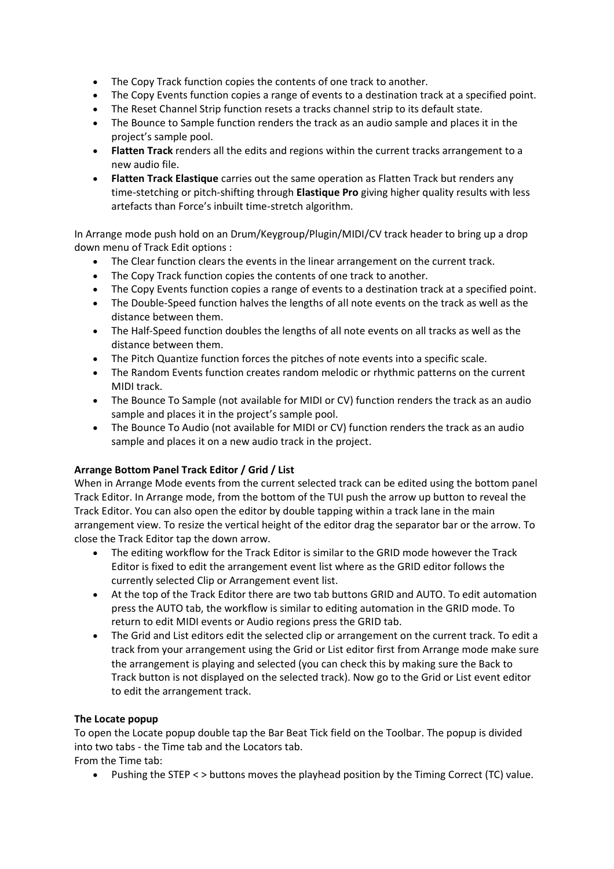- The Copy Track function copies the contents of one track to another.
- The Copy Events function copies a range of events to a destination track at a specified point.
- The Reset Channel Strip function resets a tracks channel strip to its default state.
- The Bounce to Sample function renders the track as an audio sample and places it in the project's sample pool.
- **Flatten Track** renders all the edits and regions within the current tracks arrangement to a new audio file.
- **Flatten Track Elastique** carries out the same operation as Flatten Track but renders any time-stetching or pitch-shifting through **Elastique Pro** giving higher quality results with less artefacts than Force's inbuilt time-stretch algorithm.

In Arrange mode push hold on an Drum/Keygroup/Plugin/MIDI/CV track header to bring up a drop down menu of Track Edit options :

- The Clear function clears the events in the linear arrangement on the current track.
- The Copy Track function copies the contents of one track to another.
- The Copy Events function copies a range of events to a destination track at a specified point.
- The Double-Speed function halves the lengths of all note events on the track as well as the distance between them.
- The Half-Speed function doubles the lengths of all note events on all tracks as well as the distance between them.
- The Pitch Quantize function forces the pitches of note events into a specific scale.
- The Random Events function creates random melodic or rhythmic patterns on the current MIDI track.
- The Bounce To Sample (not available for MIDI or CV) function renders the track as an audio sample and places it in the project's sample pool.
- The Bounce To Audio (not available for MIDI or CV) function renders the track as an audio sample and places it on a new audio track in the project.

# **Arrange Bottom Panel Track Editor / Grid / List**

When in Arrange Mode events from the current selected track can be edited using the bottom panel Track Editor. In Arrange mode, from the bottom of the TUI push the arrow up button to reveal the Track Editor. You can also open the editor by double tapping within a track lane in the main arrangement view. To resize the vertical height of the editor drag the separator bar or the arrow. To close the Track Editor tap the down arrow.

- The editing workflow for the Track Editor is similar to the GRID mode however the Track Editor is fixed to edit the arrangement event list where as the GRID editor follows the currently selected Clip or Arrangement event list.
- At the top of the Track Editor there are two tab buttons GRID and AUTO. To edit automation press the AUTO tab, the workflow is similar to editing automation in the GRID mode. To return to edit MIDI events or Audio regions press the GRID tab.
- The Grid and List editors edit the selected clip or arrangement on the current track. To edit a track from your arrangement using the Grid or List editor first from Arrange mode make sure the arrangement is playing and selected (you can check this by making sure the Back to Track button is not displayed on the selected track). Now go to the Grid or List event editor to edit the arrangement track.

#### **The Locate popup**

To open the Locate popup double tap the Bar Beat Tick field on the Toolbar. The popup is divided into two tabs - the Time tab and the Locators tab.

From the Time tab:

• Pushing the STEP < > buttons moves the playhead position by the Timing Correct (TC) value.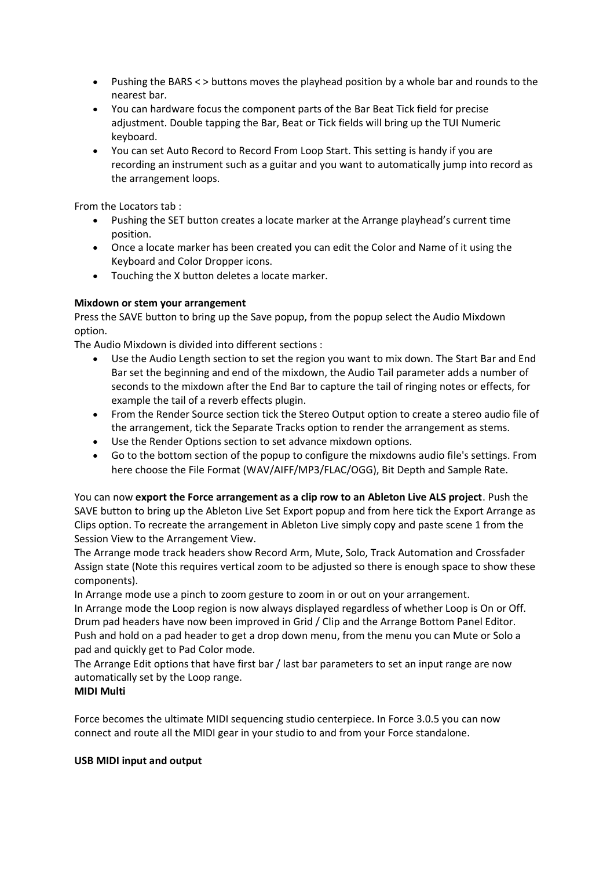- Pushing the BARS < > buttons moves the playhead position by a whole bar and rounds to the nearest bar.
- You can hardware focus the component parts of the Bar Beat Tick field for precise adjustment. Double tapping the Bar, Beat or Tick fields will bring up the TUI Numeric keyboard.
- You can set Auto Record to Record From Loop Start. This setting is handy if you are recording an instrument such as a guitar and you want to automatically jump into record as the arrangement loops.

From the Locators tab :

- Pushing the SET button creates a locate marker at the Arrange playhead's current time position.
- Once a locate marker has been created you can edit the Color and Name of it using the Keyboard and Color Dropper icons.
- Touching the X button deletes a locate marker.

# **Mixdown or stem your arrangement**

Press the SAVE button to bring up the Save popup, from the popup select the Audio Mixdown option.

The Audio Mixdown is divided into different sections :

- Use the Audio Length section to set the region you want to mix down. The Start Bar and End Bar set the beginning and end of the mixdown, the Audio Tail parameter adds a number of seconds to the mixdown after the End Bar to capture the tail of ringing notes or effects, for example the tail of a reverb effects plugin.
- From the Render Source section tick the Stereo Output option to create a stereo audio file of the arrangement, tick the Separate Tracks option to render the arrangement as stems.
- Use the Render Options section to set advance mixdown options.
- Go to the bottom section of the popup to configure the mixdowns audio file's settings. From here choose the File Format (WAV/AIFF/MP3/FLAC/OGG), Bit Depth and Sample Rate.

You can now **export the Force arrangement as a clip row to an Ableton Live ALS project**. Push the SAVE button to bring up the Ableton Live Set Export popup and from here tick the Export Arrange as Clips option. To recreate the arrangement in Ableton Live simply copy and paste scene 1 from the Session View to the Arrangement View.

The Arrange mode track headers show Record Arm, Mute, Solo, Track Automation and Crossfader Assign state (Note this requires vertical zoom to be adjusted so there is enough space to show these components).

In Arrange mode use a pinch to zoom gesture to zoom in or out on your arrangement.

In Arrange mode the Loop region is now always displayed regardless of whether Loop is On or Off. Drum pad headers have now been improved in Grid / Clip and the Arrange Bottom Panel Editor. Push and hold on a pad header to get a drop down menu, from the menu you can Mute or Solo a pad and quickly get to Pad Color mode.

The Arrange Edit options that have first bar / last bar parameters to set an input range are now automatically set by the Loop range.

#### **MIDI Multi**

Force becomes the ultimate MIDI sequencing studio centerpiece. In Force 3.0.5 you can now connect and route all the MIDI gear in your studio to and from your Force standalone.

#### **USB MIDI input and output**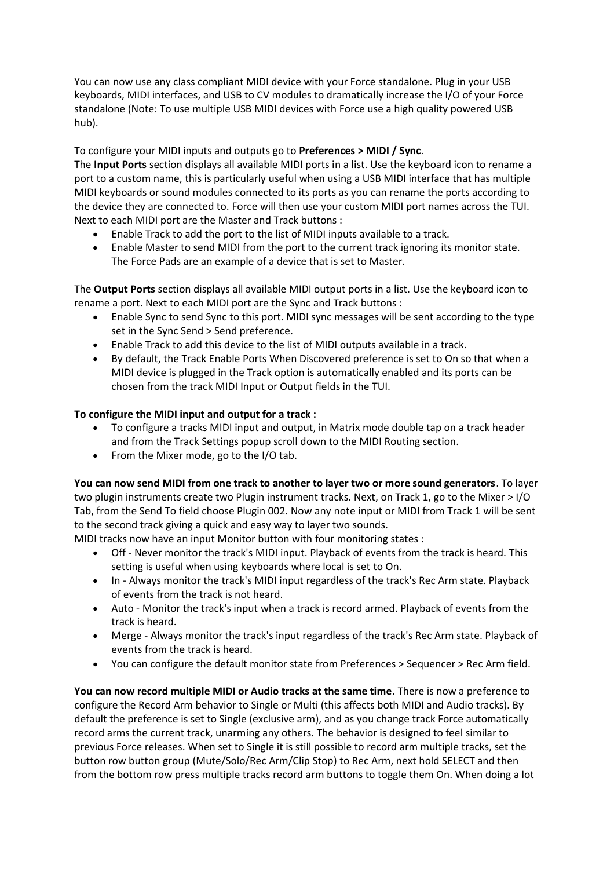You can now use any class compliant MIDI device with your Force standalone. Plug in your USB keyboards, MIDI interfaces, and USB to CV modules to dramatically increase the I/O of your Force standalone (Note: To use multiple USB MIDI devices with Force use a high quality powered USB hub).

# To configure your MIDI inputs and outputs go to **Preferences > MIDI / Sync**.

The **Input Ports** section displays all available MIDI ports in a list. Use the keyboard icon to rename a port to a custom name, this is particularly useful when using a USB MIDI interface that has multiple MIDI keyboards or sound modules connected to its ports as you can rename the ports according to the device they are connected to. Force will then use your custom MIDI port names across the TUI. Next to each MIDI port are the Master and Track buttons :

- Enable Track to add the port to the list of MIDI inputs available to a track.
- Enable Master to send MIDI from the port to the current track ignoring its monitor state. The Force Pads are an example of a device that is set to Master.

The **Output Ports** section displays all available MIDI output ports in a list. Use the keyboard icon to rename a port. Next to each MIDI port are the Sync and Track buttons :

- Enable Sync to send Sync to this port. MIDI sync messages will be sent according to the type set in the Sync Send > Send preference.
- Enable Track to add this device to the list of MIDI outputs available in a track.
- By default, the Track Enable Ports When Discovered preference is set to On so that when a MIDI device is plugged in the Track option is automatically enabled and its ports can be chosen from the track MIDI Input or Output fields in the TUI.

# **To configure the MIDI input and output for a track :**

- To configure a tracks MIDI input and output, in Matrix mode double tap on a track header and from the Track Settings popup scroll down to the MIDI Routing section.
- From the Mixer mode, go to the I/O tab.

**You can now send MIDI from one track to another to layer two or more sound generators**. To layer two plugin instruments create two Plugin instrument tracks. Next, on Track 1, go to the Mixer > I/O Tab, from the Send To field choose Plugin 002. Now any note input or MIDI from Track 1 will be sent to the second track giving a quick and easy way to layer two sounds.

MIDI tracks now have an input Monitor button with four monitoring states :

- Off Never monitor the track's MIDI input. Playback of events from the track is heard. This setting is useful when using keyboards where local is set to On.
- In Always monitor the track's MIDI input regardless of the track's Rec Arm state. Playback of events from the track is not heard.
- Auto Monitor the track's input when a track is record armed. Playback of events from the track is heard.
- Merge Always monitor the track's input regardless of the track's Rec Arm state. Playback of events from the track is heard.
- You can configure the default monitor state from Preferences > Sequencer > Rec Arm field.

**You can now record multiple MIDI or Audio tracks at the same time**. There is now a preference to configure the Record Arm behavior to Single or Multi (this affects both MIDI and Audio tracks). By default the preference is set to Single (exclusive arm), and as you change track Force automatically record arms the current track, unarming any others. The behavior is designed to feel similar to previous Force releases. When set to Single it is still possible to record arm multiple tracks, set the button row button group (Mute/Solo/Rec Arm/Clip Stop) to Rec Arm, next hold SELECT and then from the bottom row press multiple tracks record arm buttons to toggle them On. When doing a lot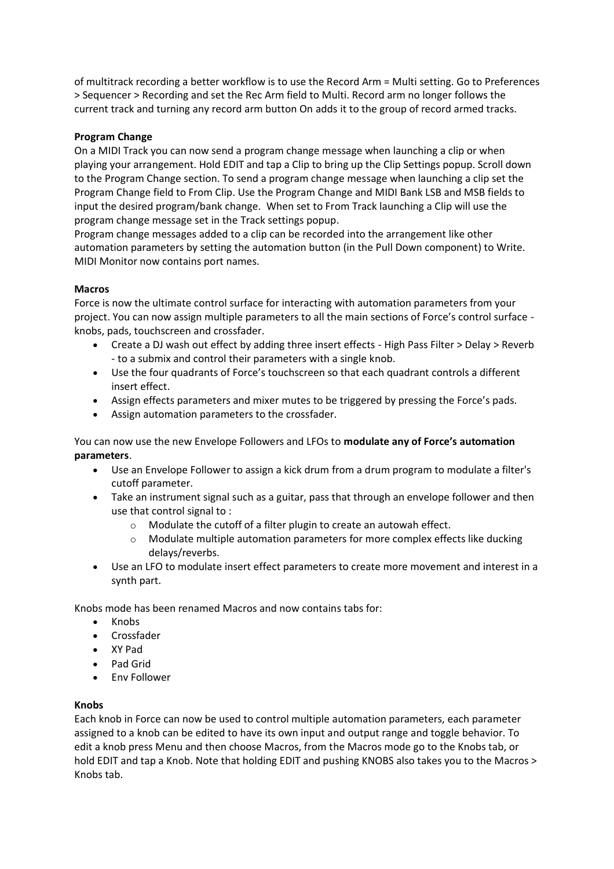of multitrack recording a better workflow is to use the Record Arm = Multi setting. Go to Preferences > Sequencer > Recording and set the Rec Arm field to Multi. Record arm no longer follows the current track and turning any record arm button On adds it to the group of record armed tracks.

# **Program Change**

On a MIDI Track you can now send a program change message when launching a clip or when playing your arrangement. Hold EDIT and tap a Clip to bring up the Clip Settings popup. Scroll down to the Program Change section. To send a program change message when launching a clip set the Program Change field to From Clip. Use the Program Change and MIDI Bank LSB and MSB fields to input the desired program/bank change. When set to From Track launching a Clip will use the program change message set in the Track settings popup.

Program change messages added to a clip can be recorded into the arrangement like other automation parameters by setting the automation button (in the Pull Down component) to Write. MIDI Monitor now contains port names.

# **Macros**

Force is now the ultimate control surface for interacting with automation parameters from your project. You can now assign multiple parameters to all the main sections of Force's control surface knobs, pads, touchscreen and crossfader.

- Create a DJ wash out effect by adding three insert effects High Pass Filter > Delay > Reverb - to a submix and control their parameters with a single knob.
- Use the four quadrants of Force's touchscreen so that each quadrant controls a different insert effect.
- Assign effects parameters and mixer mutes to be triggered by pressing the Force's pads.
- Assign automation parameters to the crossfader.

You can now use the new Envelope Followers and LFOs to **modulate any of Force's automation parameters**.

- Use an Envelope Follower to assign a kick drum from a drum program to modulate a filter's cutoff parameter.
- Take an instrument signal such as a guitar, pass that through an envelope follower and then use that control signal to :
	- o Modulate the cutoff of a filter plugin to create an autowah effect.
	- $\circ$  Modulate multiple automation parameters for more complex effects like ducking delays/reverbs.
- Use an LFO to modulate insert effect parameters to create more movement and interest in a synth part.

Knobs mode has been renamed Macros and now contains tabs for:

- Knobs
- Crossfader
- XY Pad
- Pad Grid
- Env Follower

# **Knobs**

Each knob in Force can now be used to control multiple automation parameters, each parameter assigned to a knob can be edited to have its own input and output range and toggle behavior. To edit a knob press Menu and then choose Macros, from the Macros mode go to the Knobs tab, or hold EDIT and tap a Knob. Note that holding EDIT and pushing KNOBS also takes you to the Macros > Knobs tab.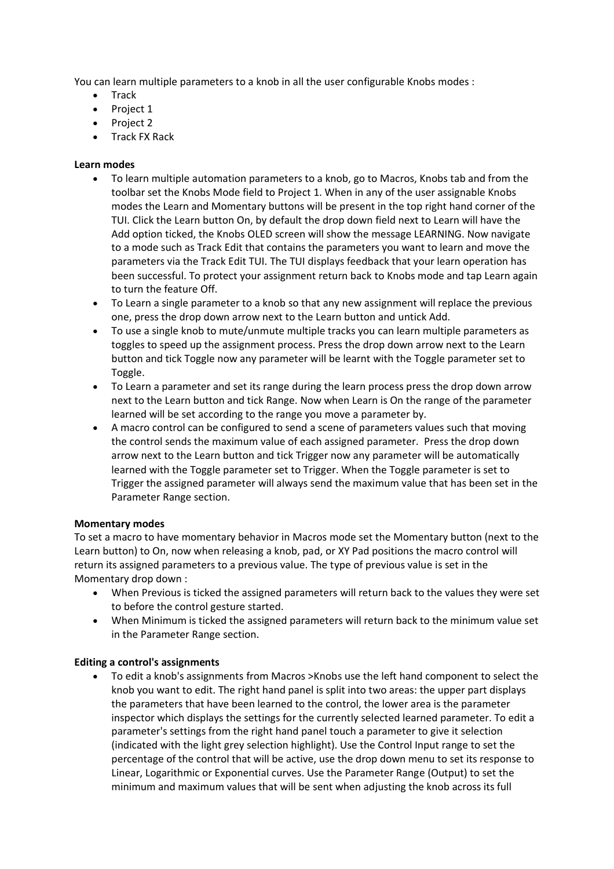You can learn multiple parameters to a knob in all the user configurable Knobs modes :

- Track
- Project 1
- Project 2
- Track FX Rack

#### **Learn modes**

- To learn multiple automation parameters to a knob, go to Macros, Knobs tab and from the toolbar set the Knobs Mode field to Project 1. When in any of the user assignable Knobs modes the Learn and Momentary buttons will be present in the top right hand corner of the TUI. Click the Learn button On, by default the drop down field next to Learn will have the Add option ticked, the Knobs OLED screen will show the message LEARNING. Now navigate to a mode such as Track Edit that contains the parameters you want to learn and move the parameters via the Track Edit TUI. The TUI displays feedback that your learn operation has been successful. To protect your assignment return back to Knobs mode and tap Learn again to turn the feature Off.
- To Learn a single parameter to a knob so that any new assignment will replace the previous one, press the drop down arrow next to the Learn button and untick Add.
- To use a single knob to mute/unmute multiple tracks you can learn multiple parameters as toggles to speed up the assignment process. Press the drop down arrow next to the Learn button and tick Toggle now any parameter will be learnt with the Toggle parameter set to Toggle.
- To Learn a parameter and set its range during the learn process press the drop down arrow next to the Learn button and tick Range. Now when Learn is On the range of the parameter learned will be set according to the range you move a parameter by.
- A macro control can be configured to send a scene of parameters values such that moving the control sends the maximum value of each assigned parameter. Press the drop down arrow next to the Learn button and tick Trigger now any parameter will be automatically learned with the Toggle parameter set to Trigger. When the Toggle parameter is set to Trigger the assigned parameter will always send the maximum value that has been set in the Parameter Range section.

#### **Momentary modes**

To set a macro to have momentary behavior in Macros mode set the Momentary button (next to the Learn button) to On, now when releasing a knob, pad, or XY Pad positions the macro control will return its assigned parameters to a previous value. The type of previous value is set in the Momentary drop down :

- When Previous is ticked the assigned parameters will return back to the values they were set to before the control gesture started.
- When Minimum is ticked the assigned parameters will return back to the minimum value set in the Parameter Range section.

#### **Editing a control's assignments**

• To edit a knob's assignments from Macros >Knobs use the left hand component to select the knob you want to edit. The right hand panel is split into two areas: the upper part displays the parameters that have been learned to the control, the lower area is the parameter inspector which displays the settings for the currently selected learned parameter. To edit a parameter's settings from the right hand panel touch a parameter to give it selection (indicated with the light grey selection highlight). Use the Control Input range to set the percentage of the control that will be active, use the drop down menu to set its response to Linear, Logarithmic or Exponential curves. Use the Parameter Range (Output) to set the minimum and maximum values that will be sent when adjusting the knob across its full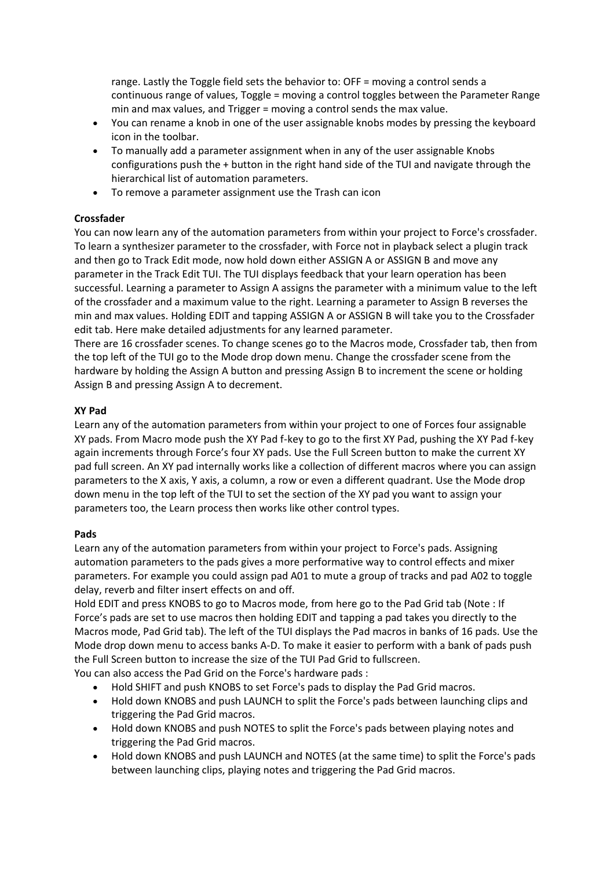range. Lastly the Toggle field sets the behavior to: OFF = moving a control sends a continuous range of values, Toggle = moving a control toggles between the Parameter Range min and max values, and Trigger = moving a control sends the max value.

- You can rename a knob in one of the user assignable knobs modes by pressing the keyboard icon in the toolbar.
- To manually add a parameter assignment when in any of the user assignable Knobs configurations push the + button in the right hand side of the TUI and navigate through the hierarchical list of automation parameters.
- To remove a parameter assignment use the Trash can icon

# **Crossfader**

You can now learn any of the automation parameters from within your project to Force's crossfader. To learn a synthesizer parameter to the crossfader, with Force not in playback select a plugin track and then go to Track Edit mode, now hold down either ASSIGN A or ASSIGN B and move any parameter in the Track Edit TUI. The TUI displays feedback that your learn operation has been successful. Learning a parameter to Assign A assigns the parameter with a minimum value to the left of the crossfader and a maximum value to the right. Learning a parameter to Assign B reverses the min and max values. Holding EDIT and tapping ASSIGN A or ASSIGN B will take you to the Crossfader edit tab. Here make detailed adjustments for any learned parameter.

There are 16 crossfader scenes. To change scenes go to the Macros mode, Crossfader tab, then from the top left of the TUI go to the Mode drop down menu. Change the crossfader scene from the hardware by holding the Assign A button and pressing Assign B to increment the scene or holding Assign B and pressing Assign A to decrement.

# **XY Pad**

Learn any of the automation parameters from within your project to one of Forces four assignable XY pads. From Macro mode push the XY Pad f-key to go to the first XY Pad, pushing the XY Pad f-key again increments through Force's four XY pads. Use the Full Screen button to make the current XY pad full screen. An XY pad internally works like a collection of different macros where you can assign parameters to the X axis, Y axis, a column, a row or even a different quadrant. Use the Mode drop down menu in the top left of the TUI to set the section of the XY pad you want to assign your parameters too, the Learn process then works like other control types.

#### **Pads**

Learn any of the automation parameters from within your project to Force's pads. Assigning automation parameters to the pads gives a more performative way to control effects and mixer parameters. For example you could assign pad A01 to mute a group of tracks and pad A02 to toggle delay, reverb and filter insert effects on and off.

Hold EDIT and press KNOBS to go to Macros mode, from here go to the Pad Grid tab (Note : If Force's pads are set to use macros then holding EDIT and tapping a pad takes you directly to the Macros mode, Pad Grid tab). The left of the TUI displays the Pad macros in banks of 16 pads. Use the Mode drop down menu to access banks A-D. To make it easier to perform with a bank of pads push the Full Screen button to increase the size of the TUI Pad Grid to fullscreen.

You can also access the Pad Grid on the Force's hardware pads :

- Hold SHIFT and push KNOBS to set Force's pads to display the Pad Grid macros.
- Hold down KNOBS and push LAUNCH to split the Force's pads between launching clips and triggering the Pad Grid macros.
- Hold down KNOBS and push NOTES to split the Force's pads between playing notes and triggering the Pad Grid macros.
- Hold down KNOBS and push LAUNCH and NOTES (at the same time) to split the Force's pads between launching clips, playing notes and triggering the Pad Grid macros.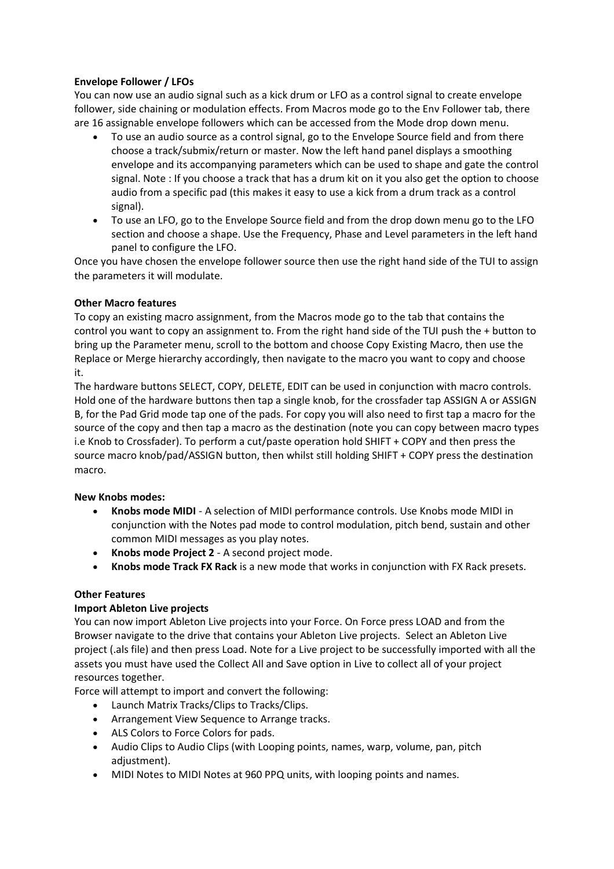# **Envelope Follower / LFOs**

You can now use an audio signal such as a kick drum or LFO as a control signal to create envelope follower, side chaining or modulation effects. From Macros mode go to the Env Follower tab, there are 16 assignable envelope followers which can be accessed from the Mode drop down menu.

- To use an audio source as a control signal, go to the Envelope Source field and from there choose a track/submix/return or master. Now the left hand panel displays a smoothing envelope and its accompanying parameters which can be used to shape and gate the control signal. Note : If you choose a track that has a drum kit on it you also get the option to choose audio from a specific pad (this makes it easy to use a kick from a drum track as a control signal).
- To use an LFO, go to the Envelope Source field and from the drop down menu go to the LFO section and choose a shape. Use the Frequency, Phase and Level parameters in the left hand panel to configure the LFO.

Once you have chosen the envelope follower source then use the right hand side of the TUI to assign the parameters it will modulate.

# **Other Macro features**

To copy an existing macro assignment, from the Macros mode go to the tab that contains the control you want to copy an assignment to. From the right hand side of the TUI push the + button to bring up the Parameter menu, scroll to the bottom and choose Copy Existing Macro, then use the Replace or Merge hierarchy accordingly, then navigate to the macro you want to copy and choose it.

The hardware buttons SELECT, COPY, DELETE, EDIT can be used in conjunction with macro controls. Hold one of the hardware buttons then tap a single knob, for the crossfader tap ASSIGN A or ASSIGN B, for the Pad Grid mode tap one of the pads. For copy you will also need to first tap a macro for the source of the copy and then tap a macro as the destination (note you can copy between macro types i.e Knob to Crossfader). To perform a cut/paste operation hold SHIFT + COPY and then press the source macro knob/pad/ASSIGN button, then whilst still holding SHIFT + COPY press the destination macro.

#### **New Knobs modes:**

- **Knobs mode MIDI** A selection of MIDI performance controls. Use Knobs mode MIDI in conjunction with the Notes pad mode to control modulation, pitch bend, sustain and other common MIDI messages as you play notes.
- **Knobs mode Project 2** A second project mode.
- **Knobs mode Track FX Rack** is a new mode that works in conjunction with FX Rack presets.

#### **Other Features**

#### **Import Ableton Live projects**

You can now import Ableton Live projects into your Force. On Force press LOAD and from the Browser navigate to the drive that contains your Ableton Live projects. Select an Ableton Live project (.als file) and then press Load. Note for a Live project to be successfully imported with all the assets you must have used the Collect All and Save option in Live to collect all of your project resources together.

Force will attempt to import and convert the following:

- Launch Matrix Tracks/Clips to Tracks/Clips.
- Arrangement View Sequence to Arrange tracks.
- ALS Colors to Force Colors for pads.
- Audio Clips to Audio Clips (with Looping points, names, warp, volume, pan, pitch adjustment).
- MIDI Notes to MIDI Notes at 960 PPQ units, with looping points and names.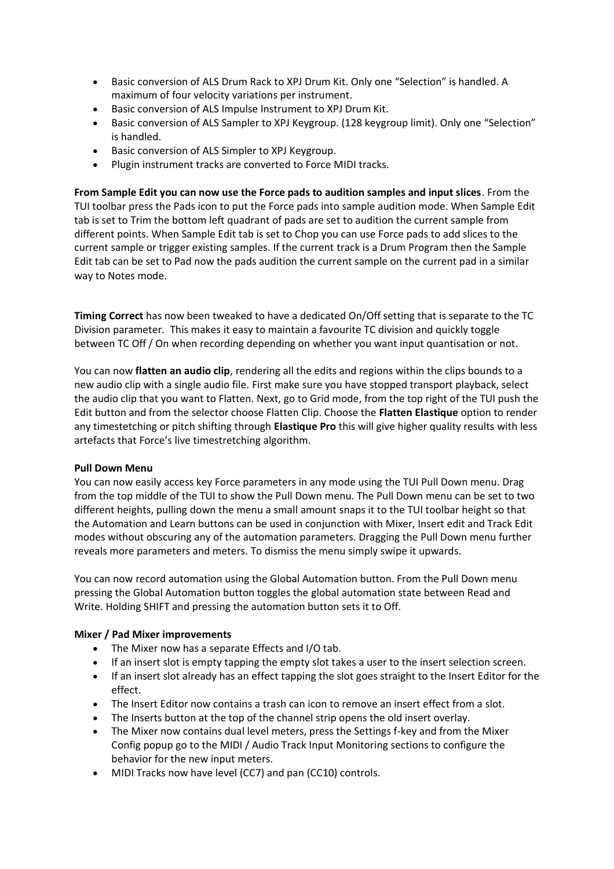- Basic conversion of ALS Drum Rack to XPJ Drum Kit. Only one "Selection" is handled. A maximum of four velocity variations per instrument.
- Basic conversion of ALS Impulse Instrument to XPJ Drum Kit.
- Basic conversion of ALS Sampler to XPJ Keygroup. (128 keygroup limit). Only one "Selection" is handled.
- Basic conversion of ALS Simpler to XPJ Keygroup.
- Plugin instrument tracks are converted to Force MIDI tracks.

**From Sample Edit you can now use the Force pads to audition samples and input slices**. From the TUI toolbar press the Pads icon to put the Force pads into sample audition mode. When Sample Edit tab is set to Trim the bottom left quadrant of pads are set to audition the current sample from different points. When Sample Edit tab is set to Chop you can use Force pads to add slices to the current sample or trigger existing samples. If the current track is a Drum Program then the Sample Edit tab can be set to Pad now the pads audition the current sample on the current pad in a similar way to Notes mode.

**Timing Correct** has now been tweaked to have a dedicated On/Off setting that is separate to the TC Division parameter. This makes it easy to maintain a favourite TC division and quickly toggle between TC Off / On when recording depending on whether you want input quantisation or not.

You can now **flatten an audio clip**, rendering all the edits and regions within the clips bounds to a new audio clip with a single audio file. First make sure you have stopped transport playback, select the audio clip that you want to Flatten. Next, go to Grid mode, from the top right of the TUI push the Edit button and from the selector choose Flatten Clip. Choose the **Flatten Elastique** option to render any timestetching or pitch shifting through **Elastique Pro** this will give higher quality results with less artefacts that Force's live timestretching algorithm.

#### **Pull Down Menu**

You can now easily access key Force parameters in any mode using the TUI Pull Down menu. Drag from the top middle of the TUI to show the Pull Down menu. The Pull Down menu can be set to two different heights, pulling down the menu a small amount snaps it to the TUI toolbar height so that the Automation and Learn buttons can be used in conjunction with Mixer, Insert edit and Track Edit modes without obscuring any of the automation parameters. Dragging the Pull Down menu further reveals more parameters and meters. To dismiss the menu simply swipe it upwards.

You can now record automation using the Global Automation button. From the Pull Down menu pressing the Global Automation button toggles the global automation state between Read and Write. Holding SHIFT and pressing the automation button sets it to Off.

#### **Mixer / Pad Mixer improvements**

- The Mixer now has a separate Effects and I/O tab.
- If an insert slot is empty tapping the empty slot takes a user to the insert selection screen.
- If an insert slot already has an effect tapping the slot goes straight to the Insert Editor for the effect.
- The Insert Editor now contains a trash can icon to remove an insert effect from a slot.
- The Inserts button at the top of the channel strip opens the old insert overlay.
- The Mixer now contains dual level meters, press the Settings f-key and from the Mixer Config popup go to the MIDI / Audio Track Input Monitoring sections to configure the behavior for the new input meters.
- MIDI Tracks now have level (CC7) and pan (CC10) controls.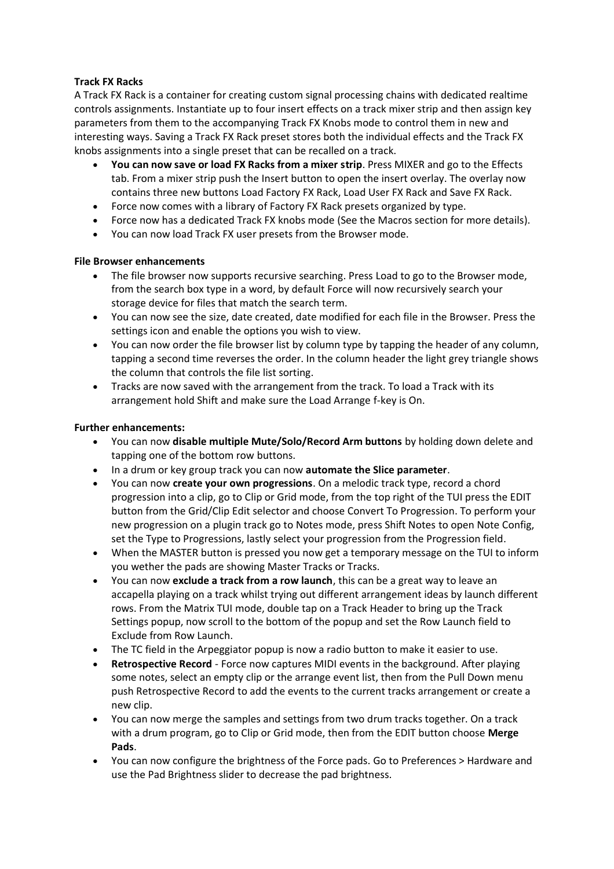# **Track FX Racks**

A Track FX Rack is a container for creating custom signal processing chains with dedicated realtime controls assignments. Instantiate up to four insert effects on a track mixer strip and then assign key parameters from them to the accompanying Track FX Knobs mode to control them in new and interesting ways. Saving a Track FX Rack preset stores both the individual effects and the Track FX knobs assignments into a single preset that can be recalled on a track.

- **You can now save or load FX Racks from a mixer strip**. Press MIXER and go to the Effects tab. From a mixer strip push the Insert button to open the insert overlay. The overlay now contains three new buttons Load Factory FX Rack, Load User FX Rack and Save FX Rack.
- Force now comes with a library of Factory FX Rack presets organized by type.
- Force now has a dedicated Track FX knobs mode (See the Macros section for more details).
- You can now load Track FX user presets from the Browser mode.

# **File Browser enhancements**

- The file browser now supports recursive searching. Press Load to go to the Browser mode, from the search box type in a word, by default Force will now recursively search your storage device for files that match the search term.
- You can now see the size, date created, date modified for each file in the Browser. Press the settings icon and enable the options you wish to view.
- You can now order the file browser list by column type by tapping the header of any column, tapping a second time reverses the order. In the column header the light grey triangle shows the column that controls the file list sorting.
- Tracks are now saved with the arrangement from the track. To load a Track with its arrangement hold Shift and make sure the Load Arrange f-key is On.

## **Further enhancements:**

- You can now **disable multiple Mute/Solo/Record Arm buttons** by holding down delete and tapping one of the bottom row buttons.
- In a drum or key group track you can now **automate the Slice parameter**.
- You can now **create your own progressions**. On a melodic track type, record a chord progression into a clip, go to Clip or Grid mode, from the top right of the TUI press the EDIT button from the Grid/Clip Edit selector and choose Convert To Progression. To perform your new progression on a plugin track go to Notes mode, press Shift Notes to open Note Config, set the Type to Progressions, lastly select your progression from the Progression field.
- When the MASTER button is pressed you now get a temporary message on the TUI to inform you wether the pads are showing Master Tracks or Tracks.
- You can now **exclude a track from a row launch**, this can be a great way to leave an accapella playing on a track whilst trying out different arrangement ideas by launch different rows. From the Matrix TUI mode, double tap on a Track Header to bring up the Track Settings popup, now scroll to the bottom of the popup and set the Row Launch field to Exclude from Row Launch.
- The TC field in the Arpeggiator popup is now a radio button to make it easier to use.
- **Retrospective Record** Force now captures MIDI events in the background. After playing some notes, select an empty clip or the arrange event list, then from the Pull Down menu push Retrospective Record to add the events to the current tracks arrangement or create a new clip.
- You can now merge the samples and settings from two drum tracks together. On a track with a drum program, go to Clip or Grid mode, then from the EDIT button choose **Merge Pads**.
- You can now configure the brightness of the Force pads. Go to Preferences > Hardware and use the Pad Brightness slider to decrease the pad brightness.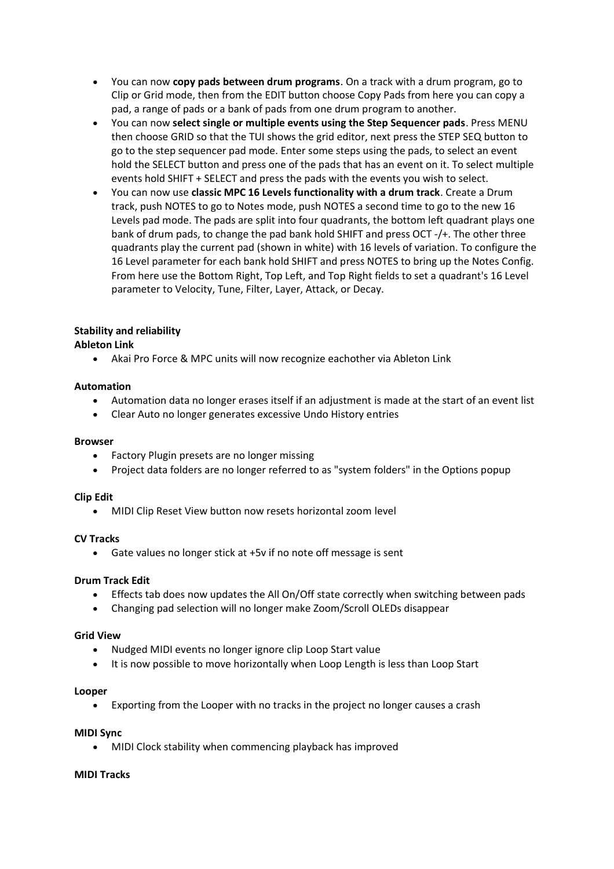- You can now **copy pads between drum programs**. On a track with a drum program, go to Clip or Grid mode, then from the EDIT button choose Copy Pads from here you can copy a pad, a range of pads or a bank of pads from one drum program to another.
- You can now **select single or multiple events using the Step Sequencer pads**. Press MENU then choose GRID so that the TUI shows the grid editor, next press the STEP SEQ button to go to the step sequencer pad mode. Enter some steps using the pads, to select an event hold the SELECT button and press one of the pads that has an event on it. To select multiple events hold SHIFT + SELECT and press the pads with the events you wish to select.
- You can now use **classic MPC 16 Levels functionality with a drum track**. Create a Drum track, push NOTES to go to Notes mode, push NOTES a second time to go to the new 16 Levels pad mode. The pads are split into four quadrants, the bottom left quadrant plays one bank of drum pads, to change the pad bank hold SHIFT and press OCT -/+. The other three quadrants play the current pad (shown in white) with 16 levels of variation. To configure the 16 Level parameter for each bank hold SHIFT and press NOTES to bring up the Notes Config. From here use the Bottom Right, Top Left, and Top Right fields to set a quadrant's 16 Level parameter to Velocity, Tune, Filter, Layer, Attack, or Decay.

# **Stability and reliability**

# **Ableton Link**

• Akai Pro Force & MPC units will now recognize eachother via Ableton Link

# **Automation**

- Automation data no longer erases itself if an adjustment is made at the start of an event list
- Clear Auto no longer generates excessive Undo History entries

#### **Browser**

- Factory Plugin presets are no longer missing
- Project data folders are no longer referred to as "system folders" in the Options popup

#### **Clip Edit**

• MIDI Clip Reset View button now resets horizontal zoom level

#### **CV Tracks**

• Gate values no longer stick at +5v if no note off message is sent

#### **Drum Track Edit**

- Effects tab does now updates the All On/Off state correctly when switching between pads
- Changing pad selection will no longer make Zoom/Scroll OLEDs disappear

#### **Grid View**

- Nudged MIDI events no longer ignore clip Loop Start value
- It is now possible to move horizontally when Loop Length is less than Loop Start

#### **Looper**

• Exporting from the Looper with no tracks in the project no longer causes a crash

#### **MIDI Sync**

• MIDI Clock stability when commencing playback has improved

#### **MIDI Tracks**